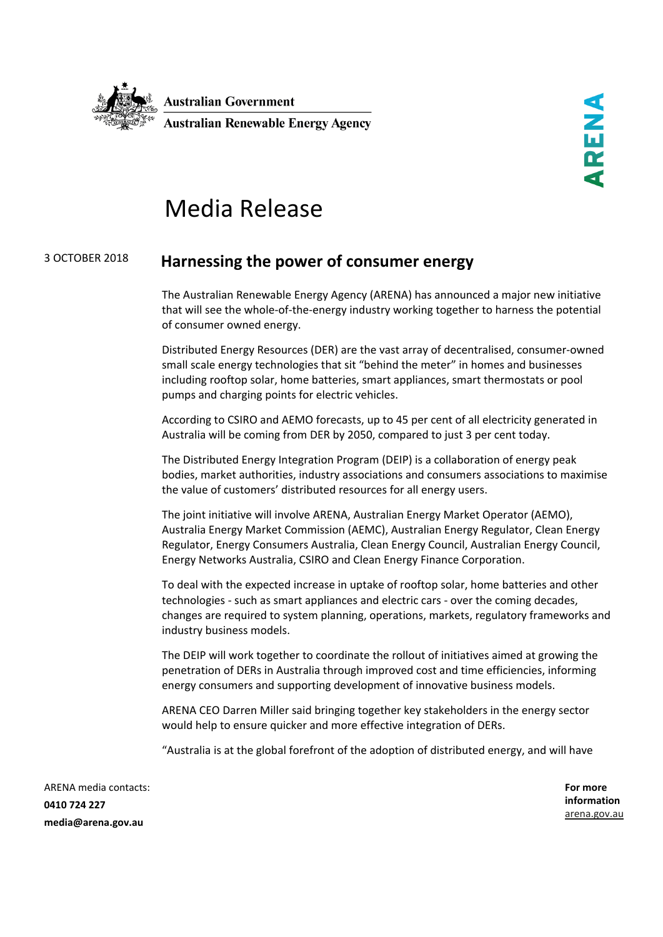

## Media Release

## <sup>3</sup> OCTOBER <sup>2018</sup> **Harnessing the power of consumer energy**

The Australian Renewable Energy Agency (ARENA) has announced a major new initiative that will see the whole-of-the-energy industry working together to harness the potential of consumer owned energy.

Distributed Energy Resources (DER) are the vast array of decentralised, consumer-owned small scale energy technologies that sit "behind the meter" in homes and businesses including rooftop solar, home batteries, smart appliances, smart thermostats or pool pumps and charging points for electric vehicles.

According to CSIRO and AEMO forecasts, up to 45 per cent of all electricity generated in Australia will be coming from DER by 2050, compared to just 3 per cent today.

The Distributed Energy Integration Program (DEIP) is a collaboration of energy peak bodies, market authorities, industry associations and consumers associations to maximise the value of customers' distributed resources for all energy users.

The joint initiative will involve ARENA, Australian Energy Market Operator (AEMO), Australia Energy Market Commission (AEMC), Australian Energy Regulator, Clean Energy Regulator, Energy Consumers Australia, Clean Energy Council, Australian Energy Council, Energy Networks Australia, CSIRO and Clean Energy Finance Corporation.

To deal with the expected increase in uptake of rooftop solar, home batteries and other technologies - such as smart appliances and electric cars - over the coming decades, changes are required to system planning, operations, markets, regulatory frameworks and industry business models.

The DEIP will work together to coordinate the rollout of initiatives aimed at growing the penetration of DERs in Australia through improved cost and time efficiencies, informing energy consumers and supporting development of innovative business models.

ARENA CEO Darren Miller said bringing together key stakeholders in the energy sector would help to ensure quicker and more effective integration of DERs.

"Australia is at the global forefront of the adoption of distributed energy, and will have

ARENA media contacts: **0410 724 227 media@arena.gov.au**

**For more information** [arena.gov.au](http://www.arena.gov.au/)